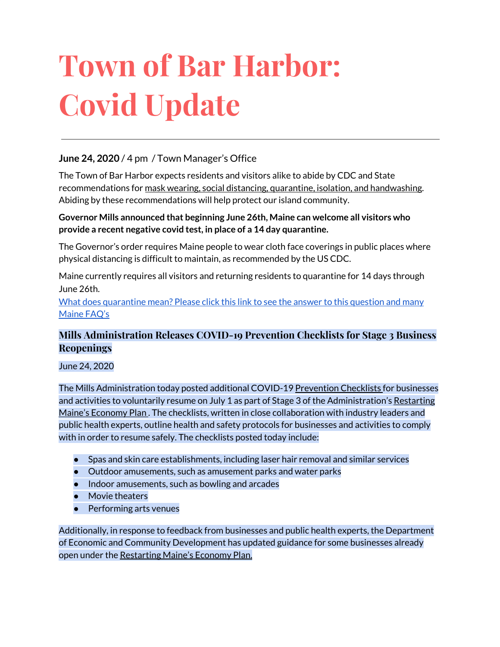# **Town of Bar Harbor: Covid Update**

#### **June 24, 2020** / 4 pm / Town Manager's Office

The Town of Bar Harbor expects residents and visitors alike to abide by CDC and State recommendations for mask wearing, social distancing, quarantine, isolation, and handwashing. Abiding by these recommendations will help protect our island community.

#### **Governor Mills announced that beginning June 26th, Maine can welcome all visitors who provide a recent negative covid test, in place of a 14 day quarantine.**

The Governor's order requires Maine people to wear cloth face coverings in public places where physical distancing is difficult to maintain, as recommended by the US CDC.

Maine currently requires all visitors and returning residents to quarantine for 14 days through June 26th.

What does [quarantine](https://www.maine.gov/dhhs/mecdc/infectious-disease/epi/airborne/coronavirus.shtml#faq) mean? Please click this link to see the answer to this question and many [Maine](https://www.maine.gov/dhhs/mecdc/infectious-disease/epi/airborne/coronavirus.shtml#faq) FAQ's

#### **Mills Administration Releases COVID-19 Prevention Checklists for Stage 3 Business Reopenings**

#### June 24, 2020

The Mills Administration today posted additional COVID-1[9](https://www.maine.gov/decd/covid-19-prevention-checklists) [Prevention](https://www.maine.gov/decd/covid-19-prevention-checklists) Checklists for businesses and activitie[s](https://www.maine.gov/covid19/restartingmaine) to voluntarily resume on July 1 as part of Stage 3 of the Administration's [Restarting](https://www.maine.gov/covid19/restartingmaine) Maine's [Economy](https://www.maine.gov/covid19/restartingmaine) Plan. The checklists, written in close collaboration with industry leaders and public health experts, outline health and safety protocols for businesses and activities to comply with in order to resume safely. The checklists posted today include:

- Spas and skin care establishments, including laser hair removal and similar services
- Outdoor amusements, such as amusement parks and water parks
- Indoor amusements, such as bowling and arcades
- Movie theaters
- Performing arts venues

Additionally, in response to feedback from businesses and public health experts, the Department of Economic and Community Development has updated guidance for some businesses already open under the [Restarting](https://www.maine.gov/covid19/restartingmaine) Maine's Economy Plan.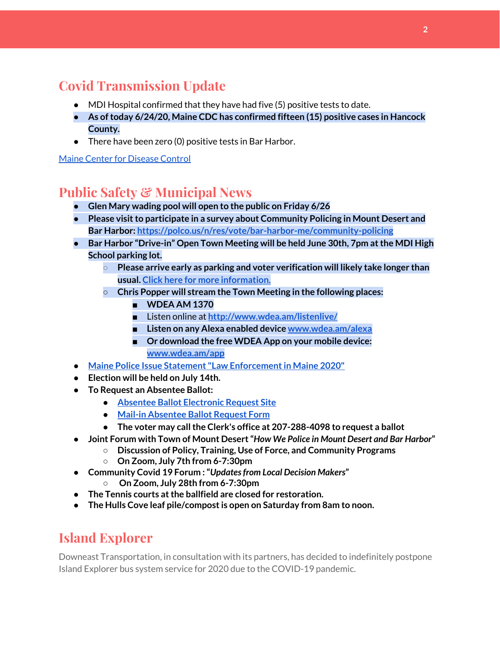## **Covid Transmission Update**

- MDI Hospital confirmed that they have had five (5) positive tests to date.
- **● As oftoday 6/24/20, Maine CDC has confirmed fifteen (15) positive cases in Hancock County.**
- There have been zero (0) positive tests in Bar Harbor.

Maine Center for [Disease](https://www.maine.gov/dhhs/mecdc/infectious-disease/epi/airborne/coronavirus.shtml) Control

#### **Public Safety & Municipal News**

- **● Glen Mary wading pool will open to the public on Friday 6/26**
- **● Please visitto participate in a survey about Community Policing in Mount Desert and Bar Harbor: <https://polco.us/n/res/vote/bar-harbor-me/community-policing>**
- **● Bar Harbor "Drive-in" Open Town Meeting will be held June 30th, 7pm atthe MDI High School parking lot.**
	- **○ Please arrive early as parking and voter verification will likely take longer than usual. Click here for more [information.](http://www.barharbormaine.gov/CivicAlerts.aspx?AID=679)**
	- **○ Chris Popper will stream the Town Meeting in the following places:**
		- **■ WDEA AM 1370**
		- **■** Listen online at **[http://www.wdea.am/listenlive/](http://www.wdea.am/listenlive/?fbclid=IwAR39rZFQiKOUwKKoHtkeXs8ID3OMD67I9ZhjHMuwGVIFw0xxwEmld41bocI)**
		- **■ Listen on any Alexa enabled devic[e](http://www.wdea.am/alexa?fbclid=IwAR33Hc4p9uDunYOrq3xdh0QOAk5UQSeosLbfdJb_8-Y9n4qO-RGxuXoa1C8) [www.wdea.am/alexa](http://www.wdea.am/alexa)**
		- **■ Or download the free WDEA App on your mobile device: [www.wdea.am/app](http://www.wdea.am/app?fbclid=IwAR3s7yvnu-zymr7ZRzhzpxkvP307BH1Q-lKiAkUAUhbnKuLL0XorrlHNINQ)**
- **● Maine Police Issue Statement "Law [Enforcementin](https://www.mtdesert.org/sites/g/files/vyhlif931/f/uploads/law_enforcement_informational_document.pdf) Maine 2020"**
- **● Election will be held on July 14th.**
- **● To Request an Absentee Ballot:**
	- **● Absentee Ballot [Electronic](https://www.maine.gov/cgi-bin/online/AbsenteeBallot/index.pl) Request Site**
	- **● Mail-in [Absentee](http://www.barharbormaine.gov/DocumentCenter/View/4119/Absentee-Ballot-Request-Form-20200714) Ballot Request Form**
	- **● The voter may callthe Clerk's office at 207-288-4098 to request a ballot**
- **● Joint Forum with Town of Mount Desert"***How We Police in Mount Desert and Bar Harbor***"**
	- **○ Discussion of Policy, Training, Use of Force, and Community Programs**
	- **○ On Zoom, July 7th from 6-7:30pm**
- **● Community Covid 19 Forum :"***Updatesfrom Local Decision Makers***"**
	- **○ On Zoom, July 28th from 6-7:30pm**
- **● The Tennis courts atthe ballfield are closed for restoration.**
- **● The Hulls Cove leaf pile/compostis open on Saturday from 8am to noon.**

#### **Island Explorer**

Downeast Transportation, in consultation with its partners, has decided to indefinitely postpone Island Explorer bus system service for 2020 due to the COVID-19 pandemic.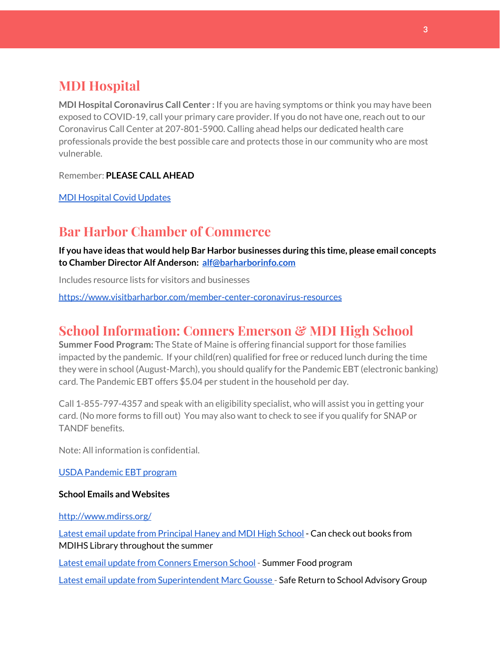## **MDI Hospital**

**MDI Hospital Coronavirus Call Center :** If you are having symptoms or think you may have been exposed to COVID-19, call your primary care provider. If you do not have one, reach out to our Coronavirus Call Center at 207-801-5900. Calling ahead helps our dedicated health care professionals provide the best possible care and protects those in our community who are most vulnerable.

Remember: **PLEASE CALL AHEAD**

MDI [Hospital](https://www.mdihospital.org/covid-19/?fbclid=IwAR2Q31t4a6H1pxDfUeqSzFcmp5UbRlSwe93i58zEkHstfexp5EgoHB5cxGU) Covid Updates

#### **Bar Harbor Chamber of Commerce**

**If you have ideas that would help Bar Harbor businesses during this time, please email concepts to Chamber Director Alf Anderson: [alf@barharborinfo.com](mailto:alf@barharborinfo.com)**

Includes resource lists for visitors and businesses

<https://www.visitbarharbor.com/member-center-coronavirus-resources>

#### **School Information: Conners Emerson & MDI High School**

**Summer Food Program:** The State of Maine is offering financial support for those families impacted by the pandemic. If your child(ren) qualified for free or reduced lunch during the time they were in school (August-March), you should qualify for the Pandemic EBT (electronic banking) card. The Pandemic EBT offers \$5.04 per student in the household per day.

Call 1-855-797-4357 and speak with an eligibility specialist, who will assist you in getting your card. (No more forms to fill out) You may also want to check to see if you qualify for SNAP or TANDF benefits.

Note: All information is confidential.

USDA [Pandemic](http://track.spe.schoolmessenger.com/f/a/j6GQx4nFl3Rld4Q68tYCuA~~/AAAAAQA~/RgRgu5_JP0SlaHR0cHM6Ly9tYWlsLmdvb2dsZS5jb20vbWFpbC91LzAvP3RhYj1jbSNzZWFyY2gvZnJvbSUzQStiZWVzbGV5L1doY3RLSlZyQ0NUS1JmUldCTFdkUVpGZ2pUVlhNdkRwUVpIa2NoRkJCc3NGcHJxZEtnWFF3S05Tamt3R1RxTFpaS21wTkRHP3Byb2plY3Rvcj0xJm1lc3NhZ2VQYXJ0SWQ9MC4xVwdzY2hvb2xtQgoARkls2l72Ls-jUhhiYXJoYXJib3JqZXdlbEBnbWFpbC5jb21YBAAAAAE~) EBT program

#### **School Emails and Websites**

<http://www.mdirss.org/>

Latest email update from [Principal](https://docs.google.com/document/d/1OKDsYNtOgV0FI9xAcXwQvenOKLV0S2vBg1o5jtu5CrE/edit?usp=sharing) Haney and MDI High School - Can check out books from MDIHS Library throughout the summer

Latest email update from Conners [Emerson](https://docs.google.com/document/d/1v3pgkG6Q-9S3gisuUIj4etPVDwgBKl4P00JBkvZr-kk/edit?usp=sharing) School - Summer Food program

Latest email update from [Superintendent](https://docs.google.com/document/d/1fzeCbc8gpTSKmUaDoQH1Avx5PVl-h0reFphXrT1eUNA/edit?usp=sharing) Marc Gousse - Safe Return to School Advisory Group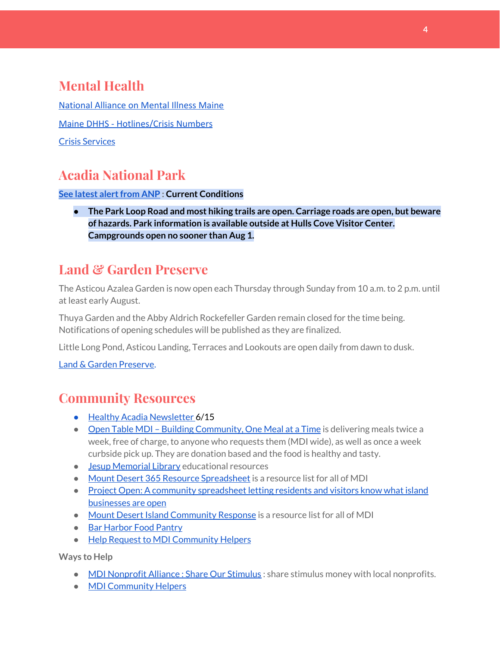# **Mental Health**

[National Alliance on Mental Illness Maine](https://www.namimaine.org/) [Maine DHHS - Hotlines/Crisis Numbers](https://www.maine.gov/dhhs/hotlines.shtml) Crisis [Services](https://www.sweetser.org/programs-services/services-for-adults/crisis-services/)

## **Acadia National Park**

**See latest [alertfrom](https://www.nps.gov/acad/planyourvisit/conditions.htm) ANP : Current Conditions**

**● The Park Loop Road and most hiking trails are open. Carriage roads are open, but beware of hazards. Park information is available outside at Hulls Cove Visitor Center. Campgrounds open no sooner than Aug 1.**

## **Land & Garden Preserve**

The Asticou Azalea Garden is now open each Thursday through Sunday from 10 a.m. to 2 p.m. until at least early August.

Thuya Garden and the Abby Aldrich Rockefeller Garden remain closed for the time being. Notifications of opening schedules will be published as they are finalized.

Little Long Pond, Asticou Landing, Terraces and Lookouts are open daily from dawn to dusk.

Land & Garden [Preserve.](http://r20.rs6.net/tn.jsp?f=001c2c44O_Y4Bmt5GaCvu5yAYkz89M8Lwr9w3wPmKga-jL0VkXmrA_iCBnJWeKd-r-c_wiOF7jNYC-QzXJMviI1ynfM6TwSp8c5otfuaSIRTDcq5nn2rk6dJCDjoN3eBqPHJKFYoFyk9hM2S6_Umc9OISkK5B4CYWoH5SoIKNOTrvM=&c=hkvlfXnwmFjdodNWvqArIvDg3SgMq59MugFS-G4pB0EsTcKrtCXmmw==&ch=dosMVM0pVLoaympYuEEiXtIerW5cx-__Cn3S8zZpZ16TXMeGogAN8g==)

## **Community Resources**

- Healthy Acadia [Newsletter](https://mailchi.mp/healthyacadia.org/june15_2020) 6/15
- Open Table MDI Building [Community,](https://www.opentablemdi.org/) One Meal at a Time is delivering meals twice a week, free of charge, to anyone who requests them (MDI wide), as well as once a week curbside pick up. They are donation based and the food is healthy and tasty.
- Jesup [Memorial](https://jesuplibrary.org/) Library educational resources
- Mount Desert 365 Resource [Spreadsheet](https://docs.google.com/spreadsheets/d/1okAx6HSsgXZY9CGH07Dzi6rqe7a6m4dLCPKot2Li7Ek/edit?usp=sharing) is a resource list for all of MDI
- Project Open: A community [spreadsheet](https://docs.google.com/spreadsheets/d/1dBicBiBXGzzWEFd9oqL7EBDbFWjDCPl6SSMea_Kt4pc/htmlview#) letting residents and visitors know what island [businesses](https://docs.google.com/spreadsheets/d/1dBicBiBXGzzWEFd9oqL7EBDbFWjDCPl6SSMea_Kt4pc/htmlview#) are open
- Mount Desert Island [Community](https://www.mdicr.org/) Response is a resource list for all of MDI
- Bar [Harbor](https://www.barharborfoodpantry.org/) Food Pantry
- Help Request to MDI [Community](https://docs.google.com/forms/d/e/1FAIpQLSeZfu0tCcthHc9oL7tPomVRdniYiE7nbT_kkK9iCSRgqDhOvQ/viewform) Helpers

**Ways to Help**

- MDI [Nonprofit](https://sites.google.com/mdina.org/public/sos-mdi?authuser=0) Alliance : Share Our Stimulus : share stimulus money with local nonprofits.
- MDI [Community](https://docs.google.com/forms/d/e/1FAIpQLSe_CJUFdVvwJkmymWRqUeK8bx3m7n4uSOuUPYHqXSAyH2DBoQ/viewform?fbclid=IwAR25hjnWGhnMP0lOWMcBPRBumhtQCJGZO4hlk-T-VjNGZljL1kVX5pWrL6U) Helpers